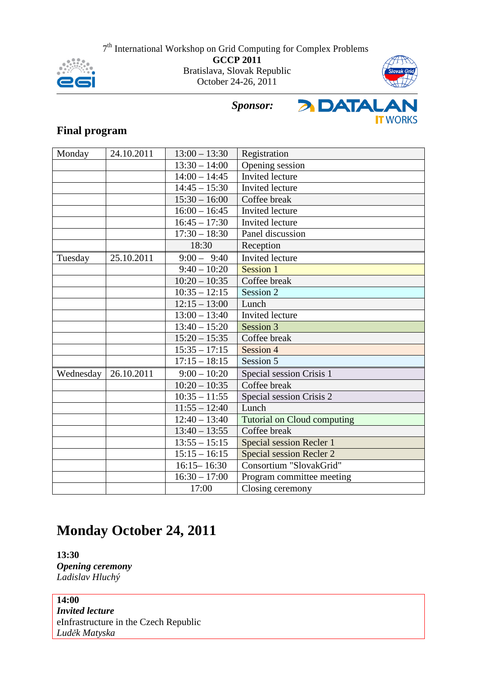



# *Sponsor:*



# **Final program**

| Monday    | 24.10.2011 | $13:00 - 13:30$            | Registration                       |
|-----------|------------|----------------------------|------------------------------------|
|           |            | $13:30 - 14:00$            | Opening session                    |
|           |            | $14:00 - 14:45$            | <b>Invited</b> lecture             |
|           |            | $14:45 - 15:30$            | Invited lecture                    |
|           |            | $15:30 - 16:00$            | Coffee break                       |
|           |            | $16:00 - 16:45$            | Invited lecture                    |
|           |            | $16:45 - 17:30$            | Invited lecture                    |
|           |            | $17:30 - 18:30$            | Panel discussion                   |
|           |            | 18:30                      | Reception                          |
| Tuesday   | 25.10.2011 | $9:00 - 9:40$              | <b>Invited</b> lecture             |
|           |            | $9:40 - 10:20$             | <b>Session 1</b>                   |
|           |            | $10:20 - 10:35$            | Coffee break                       |
|           |            | $10:35 - 12:15$            | Session 2                          |
|           |            | $12:15 - 13:00$            | Lunch                              |
|           |            | $13:00 - 13:40$            | <b>Invited</b> lecture             |
|           |            | $13:40 - 15:20$            | Session 3                          |
|           |            | $15:20 - 15:35$            | Coffee break                       |
|           |            | $15:35 - 17:15$            | Session 4                          |
|           |            | $17:15 - 18:15$            | Session 5                          |
| Wednesday | 26.10.2011 | $9:00 - 10:20$             | Special session Crisis 1           |
|           |            | $10:20 - 10:35$            | Coffee break                       |
|           |            | $10:35 - 11:55$            | Special session Crisis 2           |
|           |            | $\overline{11:55} - 12:40$ | Lunch                              |
|           |            | $12:40 - 13:40$            | <b>Tutorial on Cloud computing</b> |
|           |            | $13:40 - 13:55$            | Coffee break                       |
|           |            | $13:55 - 15:15$            | Special session Recler 1           |
|           |            | $15:15 - 16:15$            | <b>Special session Recler 2</b>    |
|           |            | $16:15 - 16:30$            | Consortium "SlovakGrid"            |
|           |            | $16:30 - 17:00$            | Program committee meeting          |
|           |            | 17:00                      | Closing ceremony                   |

# **Monday October 24, 2011**

**13:30**  *Opening ceremony Ladislav Hluchý* 

**14:00**  *Invited lecture*  eInfrastructure in the Czech Republic *Luděk Matyska*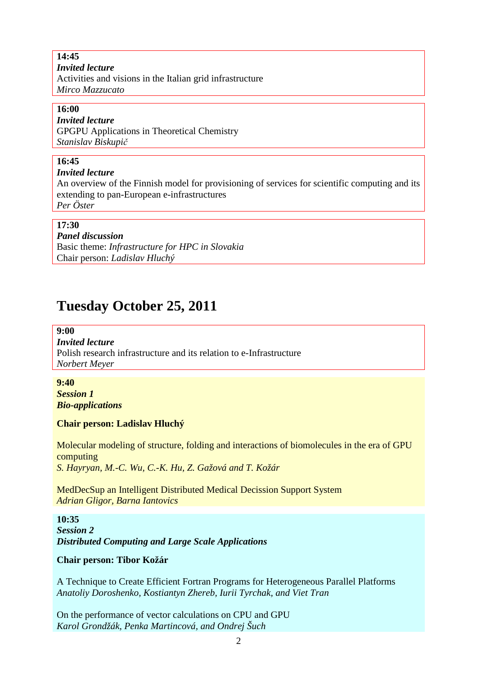**14:45**  *Invited lecture*  Activities and visions in the Italian grid infrastructure *Mirco Mazzucato*

### **16:00**

### *Invited lecture*

GPGPU Applications in Theoretical Chemistry *Stanislav Biskupič*

# **16:45**

### *Invited lecture*

An overview of the Finnish model for provisioning of services for scientific computing and its extending to pan-European e-infrastructures

*Per Öster*

# **17:30**

*Panel discussion*  Basic theme: *Infrastructure for HPC in Slovakia* Chair person: *Ladislav Hluchý* 

# **Tuesday October 25, 2011**

**9:00**  *Invited lecture*  Polish research infrastructure and its relation to e-Infrastructure *Norbert Meyer*

**9:40**  *Session 1 Bio-applications*

### **Chair person: Ladislav Hluchý**

Molecular modeling of structure, folding and interactions of biomolecules in the era of GPU computing *S. Hayryan, M.-C. Wu, C.-K. Hu, Z. Gažová and T. Kožár* 

MedDecSup an Intelligent Distributed Medical Decission Support System *Adrian Gligor, Barna Iantovics* 

**10:35**  *Session 2 Distributed Computing and Large Scale Applications*

### **Chair person: Tibor Kožár**

A Technique to Create Efficient Fortran Programs for Heterogeneous Parallel Platforms *Anatoliy Doroshenko, Kostiantyn Zhereb, Iurii Tyrchak, and Viet Tran* 

On the performance of vector calculations on CPU and GPU *Karol Grondžák, Penka Martincová, and Ondrej Šuch*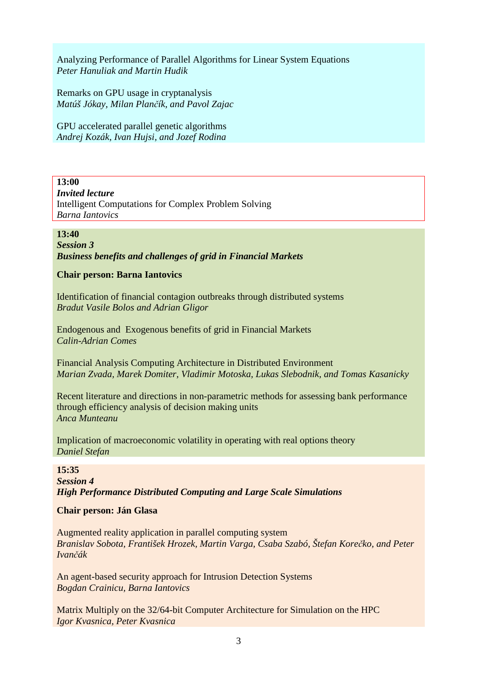Analyzing Performance of Parallel Algorithms for Linear System Equations *Peter Hanuliak and Martin Hudik* 

Remarks on GPU usage in cryptanalysis *Matúš Jókay, Milan Plančík, and Pavol Zajac* 

GPU accelerated parallel genetic algorithms *Andrej Kozák, Ivan Hujsi, and Jozef Rodina*

# **13:00**

*Invited lecture*  Intelligent Computations for Complex Problem Solving *Barna Iantovics*

# **13:40**

*Session 3 Business benefits and challenges of grid in Financial Markets*

# **Chair person: Barna Iantovics**

Identification of financial contagion outbreaks through distributed systems *Bradut Vasile Bolos and Adrian Gligor* 

Endogenous and Exogenous benefits of grid in Financial Markets *Calin-Adrian Comes*

Financial Analysis Computing Architecture in Distributed Environment *Marian Zvada, Marek Domiter, Vladimir Motoska, Lukas Slebodnik, and Tomas Kasanicky* 

Recent literature and directions in non-parametric methods for assessing bank performance through efficiency analysis of decision making units *Anca Munteanu* 

Implication of macroeconomic volatility in operating with real options theory *Daniel Stefan*

**15:35**  *Session 4 High Performance Distributed Computing and Large Scale Simulations*

# **Chair person: Ján Glasa**

Augmented reality application in parallel computing system *Branislav Sobota, František Hrozek, Martin Varga, Csaba Szabó, Štefan Korečko, and Peter Ivančák*

An agent-based security approach for Intrusion Detection Systems *Bogdan Crainicu, Barna Iantovics* 

Matrix Multiply on the 32/64-bit Computer Architecture for Simulation on the HPC *Igor Kvasnica, Peter Kvasnica*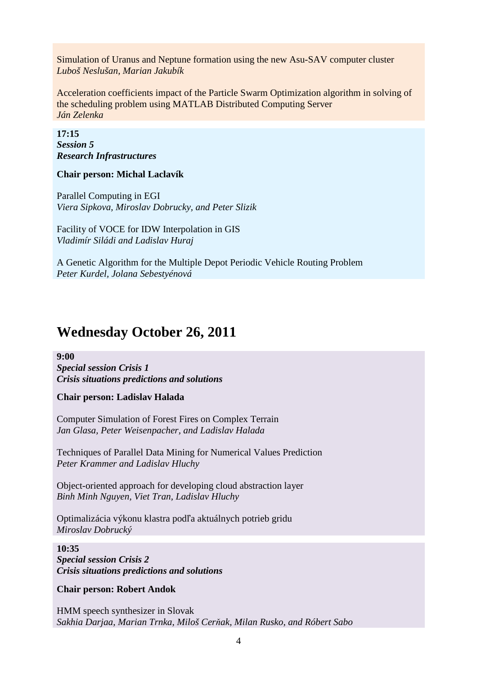Simulation of Uranus and Neptune formation using the new Asu-SAV computer cluster *Luboš Neslušan, Marian Jakubík* 

Acceleration coefficients impact of the Particle Swarm Optimization algorithm in solving of the scheduling problem using MATLAB Distributed Computing Server *Ján Zelenka*

**17:15**  *Session 5 Research Infrastructures* 

### **Chair person: Michal Laclavík**

Parallel Computing in EGI *Viera Sipkova, Miroslav Dobrucky, and Peter Slizik* 

Facility of VOCE for IDW Interpolation in GIS *Vladimír Siládi and Ladislav Huraj* 

A Genetic Algorithm for the Multiple Depot Periodic Vehicle Routing Problem *Peter Kurdel, Jolana Sebestyénová*

# **Wednesday October 26, 2011**

**9:00** 

*Special session Crisis 1 Crisis situations predictions and solutions*

**Chair person: Ladislav Halada** 

Computer Simulation of Forest Fires on Complex Terrain *Jan Glasa, Peter Weisenpacher, and Ladislav Halada* 

Techniques of Parallel Data Mining for Numerical Values Prediction *Peter Krammer and Ladislav Hluchy* 

Object-oriented approach for developing cloud abstraction layer *Binh Minh Nguyen, Viet Tran, Ladislav Hluchy* 

Optimalizácia výkonu klastra podľa aktuálnych potrieb gridu *Miroslav Dobrucký* 

**10:35**  *Special session Crisis 2 Crisis situations predictions and solutions*

**Chair person: Robert Andok** 

HMM speech synthesizer in Slovak *Sakhia Darjaa, Marian Trnka, Miloš Cerňak, Milan Rusko, and Róbert Sabo*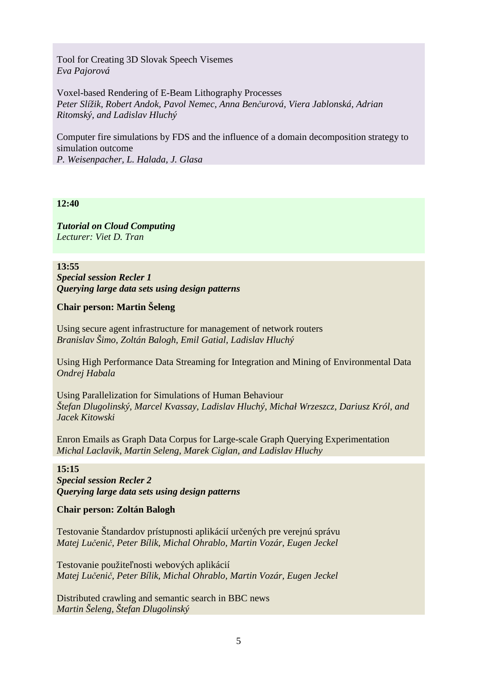Tool for Creating 3D Slovak Speech Visemes *Eva Pajorová* 

Voxel-based Rendering of E-Beam Lithography Processes *Peter Slížik, Robert Andok, Pavol Nemec, Anna Benčurová, Viera Jablonská, Adrian Ritomský, and Ladislav Hluchý* 

Computer fire simulations by FDS and the influence of a domain decomposition strategy to simulation outcome *P. Weisenpacher, L. Halada, J. Glasa* 

### **12:40**

*Tutorial on Cloud Computing Lecturer: Viet D. Tran* 

**13:55**  *Special session Recler 1 Querying large data sets using design patterns*

### **Chair person: Martin Šeleng**

Using secure agent infrastructure for management of network routers *Branislav Šimo, Zoltán Balogh, Emil Gatial, Ladislav Hluchý* 

Using High Performance Data Streaming for Integration and Mining of Environmental Data *Ondrej Habala* 

Using Parallelization for Simulations of Human Behaviour *Štefan Dlugolinský, Marcel Kvassay, Ladislav Hluchý, Michał Wrzeszcz, Dariusz Król, and Jacek Kitowski* 

Enron Emails as Graph Data Corpus for Large-scale Graph Querying Experimentation *Michal Laclavik, Martin Seleng, Marek Ciglan, and Ladislav Hluchy* 

### **15:15**

*Special session Recler 2 Querying large data sets using design patterns*

#### **Chair person: Zoltán Balogh**

Testovanie Štandardov prístupnosti aplikácií určených pre verejnú správu *Matej Lučenič, Peter Bílik, Michal Ohrablo, Martin Vozár, Eugen Jeckel* 

Testovanie použiteľnosti webových aplikácií *Matej Lučenič, Peter Bílik, Michal Ohrablo, Martin Vozár, Eugen Jeckel* 

Distributed crawling and semantic search in BBC news *Martin Šeleng, Štefan Dlugolinský*